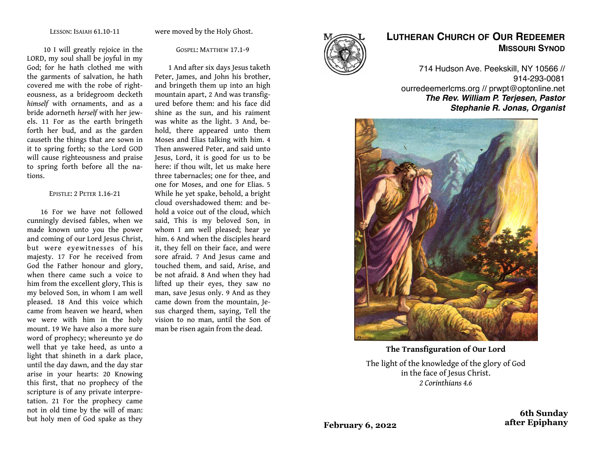were moved by the Holy Ghost.

 10 I will greatly rejoice in the LORD, my soul shall be joyful in my God; for he hath clothed me with the garments of salvation, he hath covered me with the robe of righteousness, as a bridegroom decketh *himself* with ornaments, and as a bride adorneth *herself* with her jewels. 11 For as the earth bringeth forth her bud, and as the garden causeth the things that are sown in it to spring forth; so the Lord GOD will cause righteousness and praise to spring forth before all the nations.

#### EPISTLE: 2 PETER 1.16-21

16 For we have not followed cunningly devised fables, when we made known unto you the power and coming of our Lord Jesus Christ, but were eyewitnesses of his majesty. 17 For he received from God the Father honour and glory, when there came such a voice to him from the excellent glory, This is my beloved Son, in whom I am well pleased. 18 And this voice which came from heaven we heard, when we were with him in the holy mount. 19 We have also a more sure word of prophecy; whereunto ye do well that ye take heed, as unto a light that shineth in a dark place, until the day dawn, and the day star arise in your hearts: 20 Knowing this first, that no prophecy of the scripture is of any private interpretation. 21 For the prophecy came not in old time by the will of man: but holy men of God spake as they

GOSPEL: MATTHEW 17.1-9

1 And after six days Jesus taketh Peter, James, and John his brother, and bringeth them up into an high mountain apart, 2 And was transfigured before them: and his face did shine as the sun, and his raiment was white as the light. 3 And, behold, there appeared unto them Moses and Elias talking with him. 4 Then answered Peter, and said unto Jesus, Lord, it is good for us to be here: if thou wilt, let us make here three tabernacles; one for thee, and one for Moses, and one for Elias. 5 While he yet spake, behold, a bright cloud overshadowed them: and behold a voice out of the cloud, which said, This is my beloved Son, in whom I am well pleased; hear ye him. 6 And when the disciples heard it, they fell on their face, and were sore afraid. 7 And Jesus came and touched them, and said, Arise, and be not afraid. 8 And when they had lifted up their eyes, they saw no man, save Jesus only. 9 And as they came down from the mountain, Jesus charged them, saying, Tell the vision to no man, until the Son of man be risen again from the dead.



# **LUTHERAN CHURCH OF OUR REDEEMER MISSOURI SYNOD**

714 Hudson Ave. Peekskill, NY 10566 // 914-293-0081 ourredeemerlcms.org // prwpt@optonline.net *The Rev. William P. Terjesen, Pastor Stephanie R. Jonas, Organist*



**The Transfiguration of Our Lord**

The light of the knowledge of the glory of God in the face of Jesus Christ. *2 Corinthians 4.6*

> **6th Sunday after Epiphany**

**February 6, 2022**